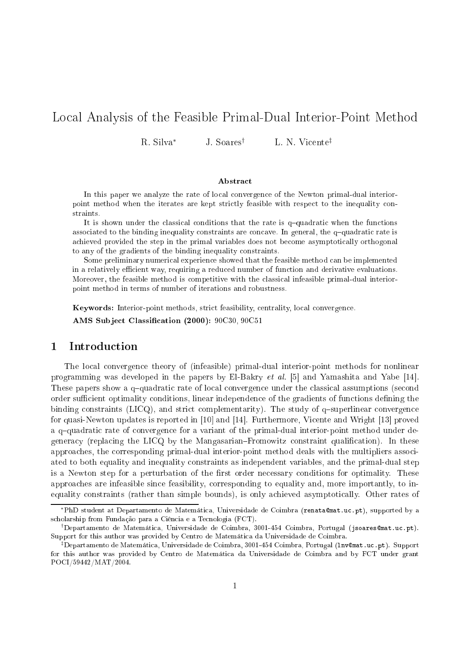# Lo
al Analysis of the Feasible Primal-Dual Interior-Point Method

R. Silva<sup>∗</sup> J. Soares<sup>†</sup> L. N. Vicente<sup>‡</sup>

### **Abstract**

In this paper we analyze the rate of lo
al onvergen
e of the Newton primal-dual interiorpoint method when the iterates are kept stri
tly feasible with respe
t to the inequality onstraints.

it is shown under the rate is the rate is the rate is the functions of  $\eta$  when the functions is the function associated to the binding inequality constraints are constraints are  $\pi$  interesting and  $\eta$  are more constraints a
hieved provided the step in the primal variables does not be
ome asymptoti
ally orthogonal to any of the gradients of the binding inequality onstraints.

Some preliminary numeri
al experien
e showed that the feasible method an be implemented in <sup>a</sup> relatively e
ient way, requiring <sup>a</sup> redu
ed number of fun
tion and derivative evaluations. Moreover, the feasible method is ompetitive with the lassi
al infeasible primal-dual interiorpoint method in terms of number of iterations and robustness.

Keywords: Interior-point methods, stri
t feasibility, entrality, lo
al onvergen
e. AMS Subject Classification (2000): 90C30, 90C51

# 1 Introdu
tion

The local convergence theory of (infeasible) primal-dual interior-point methods for nonlinear programming was developed in the papers by El-Bakry *et al.* [5] and Yamashita and Yabe [14]. These papers show a q-quadratic rate of local convergence under the classical assumptions (second order sufficient optimality conditions, linear independence of the gradients of functions defining the binding constraints (LICQ), and strict complementarity). The study of  $q$ -superlinear convergence for quasi-Newton updates is reported in  $[10]$  and  $[14]$ . Furthermore, Vicente and Wright  $[13]$  proved a q-quadratic rate of convergence for a variant of the primal-dual interior-point method under degeneracy (replacing the LICQ by the Mangasarian–Fromowitz constraint qualification). In these approaches, the corresponding primal-dual interior-point method deals with the multipliers associated to both equality and inequality onstraints as independent variables, and the primal-dual step is a Newton step for a perturbation of the first order necessary conditions for optimality. These approa
hes are infeasible sin
e feasibility, orresponding to equality and, more importantly, to inequality constraints (rather than simple bounds), is only achieved asymptotically. Other rates of

<sup>\*</sup>PhD student at Departamento de Matemática, Universidade de Coimbra (renata@mat.uc.pt), supported by a scholarship from Fundação para a Ciência e a Tecnologia (FCT).

<sup>&</sup>lt;sup>†</sup>Departamento de Matemática, Universidade de Coimbra, 3001-454 Coimbra, Portugal (jsoares@mat.uc.pt). Support for this author was provided by Centro de Matemáti
a da Universidade de Coimbra.

 $^\ddag$ Departamento de Matemática, Universidade de Coimbra, 3001-454 Coimbra, Portugal (1 ${\tt n}$ v@mat.uc.pt). Support for this author was provided by Centro de Matemáti
a da Universidade de Coimbra and by FCT under grant POCI/59442/MAT/2004.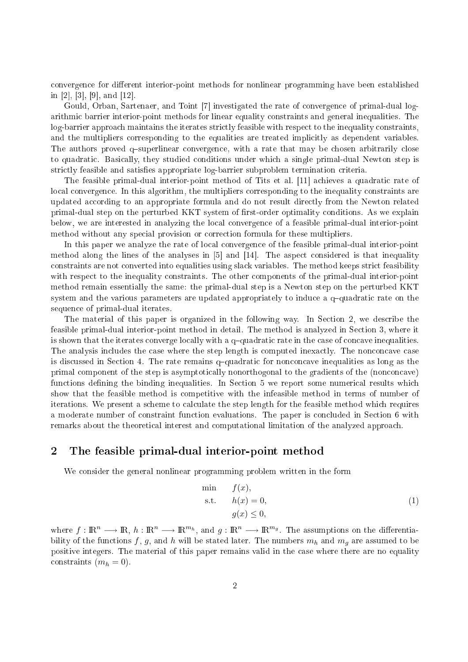convergence for different interior-point methods for nonlinear programming have been established in [2], [3], [9], and [12].

Gould, Orban, Sartenaer, and Toint [7] investigated the rate of convergence of primal-dual logarithmi barrier interior-point methods for linear equality onstraints and general inequalities. The log-barrier approach maintains the iterates strictly feasible with respect to the inequality constraints. and the multipliers corresponding to the equalities are treated implicitly as dependent variables. The authors proved q-superlinear convergence, with a rate that may be chosen arbitrarily close to quadratic. Basically, they studied conditions under which a single primal-dual Newton step is strictly feasible and satisfies appropriate log-barrier subproblem termination criteria.

The feasible primal-dual interior-point method of Tits et al. [11] achieves a quadratic rate of local convergence. In this algorithm, the multipliers corresponding to the inequality constraints are updated according to an appropriate formula and do not result directly from the Newton related primal-dual step on the perturbed KKT system of first-order optimality conditions. As we explain below, we are interested in analyzing the lo
al onvergen
e of a feasible primal-dual interior-point method without any spe
ial provision or orre
tion formula for these multipliers.

In this paper we analyze the rate of local convergence of the feasible primal-dual interior-point method along the lines of the analyses in  $[5]$  and  $[14]$ . The aspect considered is that inequality constraints are not converted into equalities using slack variables. The method keeps strict feasibility with respect to the inequality constraints. The other components of the primal-dual interior-point method remain essentially the same: the primal-dual step is a Newton step on the perturbed KKT system and the various parameters are updated appropriately to induce a  $q$ -quadratic rate on the sequen
e of primal-dual iterates.

The material of this paper is organized in the following way. In Section 2, we describe the feasible primal-dual interior-point method in detail. The method is analyzed in Section 3, where it is shown that the iterates converge locally with a  $q$ -quadratic rate in the case of concave inequalities. The analysis includes the case where the step length is computed inexactly. The nonconcave case is discussed in Section 4. The rate remains  $q$ -quadratic for nonconcave inequalities as long as the primal component of the step is asymptotically nonorthogonal to the gradients of the (nonconcave) functions defining the binding inequalities. In Section 5 we report some numerical results which show that the feasible method is ompetitive with the infeasible method in terms of number of iterations. We present a scheme to calculate the step length for the feasible method which requires a moderate number of constraint function evaluations. The paper is concluded in Section 6 with remarks about the theoretical interest and computational limitation of the analyzed approach.

# 2 The feasible primal-dual interior-point method

We consider the general nonlinear programming problem written in the form

$$
\begin{array}{ll}\n\text{min} & f(x), \\
\text{s.t.} & h(x) = 0, \\
& g(x) \le 0,\n\end{array} \tag{1}
$$

where  $f: \mathbb{R}^n \longrightarrow \mathbb{R}, h: \mathbb{R}^n \longrightarrow \mathbb{R}^{m_h}$ , and  $g: \mathbb{R}^n \longrightarrow \mathbb{R}^{m_g}$ . The assumptions on the differentiability of the functions f, g, and h will be stated later. The numbers  $m_h$  and  $m_g$  are assumed to be positive integers. The material of this paper remains valid in the ase where there are no equality constraints  $(m_h = 0)$ .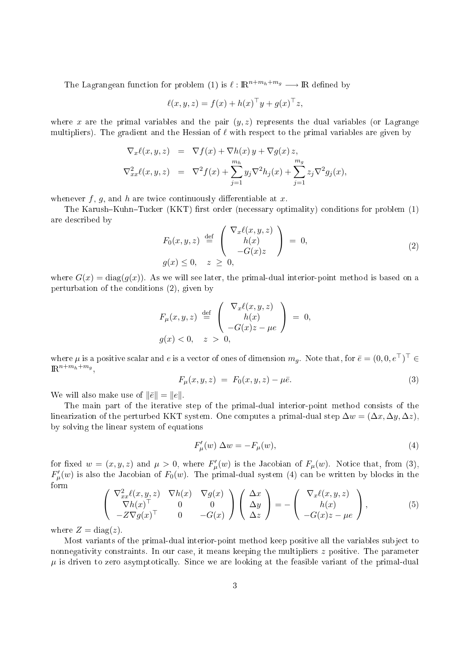The Lagrangean function for problem (1) is  $\ell : \mathbb{R}^{n+m_h+m_g} \longrightarrow \mathbb{R}$  defined by

$$
\ell(x, y, z) = f(x) + h(x)^{\top}y + g(x)^{\top}z,
$$

where x are the primal variables and the pair  $(y, z)$  represents the dual variables (or Lagrange multipliers). The gradient and the Hessian of  $\ell$  with respect to the primal variables are given by

$$
\nabla_x \ell(x, y, z) = \nabla f(x) + \nabla h(x) y + \nabla g(x) z,
$$
  
\n
$$
\nabla_{xx}^2 \ell(x, y, z) = \nabla^2 f(x) + \sum_{j=1}^{m_h} y_j \nabla^2 h_j(x) + \sum_{j=1}^{m_g} z_j \nabla^2 g_j(x),
$$

whenever  $f, g$ , and  $h$  are twice continuously differentiable at  $x$ .

The Karush–Kuhn–Tucker (KKT) first order (necessary optimality) conditions for problem (1) are des
ribed by

$$
F_0(x, y, z) \stackrel{\text{def}}{=} \begin{pmatrix} \nabla_x \ell(x, y, z) \\ h(x) \\ -G(x)z \end{pmatrix} = 0,
$$
  
\n
$$
g(x) \le 0, \quad z \ge 0,
$$
\n(2)

where  $G(x) = diag(g(x))$ . As we will see later, the primal-dual interior-point method is based on a perturbation of the onditions (2), given by

$$
F_{\mu}(x, y, z) \stackrel{\text{def}}{=} \begin{pmatrix} \nabla_x \ell(x, y, z) \\ h(x) \\ -G(x)z - \mu e \end{pmatrix} = 0,
$$
  

$$
g(x) < 0, \quad z > 0,
$$

where  $\mu$  is a positive scalar and  $e$  is a vector of ones of dimension  $m_g$ . Note that, for  $\bar{e}=(0,0,e^\top)^\top\in$  $\mathbb{R}^{n+m_h+m_g}$ ,

$$
F_{\mu}(x, y, z) = F_0(x, y, z) - \mu \bar{e}.
$$
 (3)

We will also make use of  $\|\bar{e}\| = \|e\|.$ 

The main part of the iterative step of the primal-dual interior-point method onsists of the linearization of the perturbed KKT system. One computes a primal-dual step  $\Delta w = (\Delta x, \Delta y, \Delta z)$ . by solving the linear system of equations

$$
F'_{\mu}(w) \Delta w = -F_{\mu}(w),\tag{4}
$$

for fixed  $w = (x, y, z)$  and  $\mu > 0$ , where  $F'_{\mu}(w)$  is the Jacobian of  $F_{\mu}(w)$ . Notice that, from (3),  $F'_{\mu}(w)$  is also the Jacobian of  $F_0(w)$ . The primal-dual system (4) can be written by blocks in the form

$$
\begin{pmatrix}\n\nabla_{xx}^{2}\ell(x,y,z) & \nabla h(x) & \nabla g(x) \\
\nabla h(x)^\top & 0 & 0 \\
-Z\nabla g(x)^\top & 0 & -G(x)\n\end{pmatrix}\n\begin{pmatrix}\n\Delta x \\
\Delta y \\
\Delta z\n\end{pmatrix} = -\begin{pmatrix}\n\nabla_x \ell(x,y,z) \\
h(x) \\
-G(x)z - \mu e\n\end{pmatrix},
$$
\n(5)

where  $Z = \text{diag}(z)$ .

Most variants of the primal-dual interior-point method keep positive all the variables subject to nonnegativity constraints. In our case, it means keeping the multipliers z positive. The parameter  $\mu$  is driven to zero asymptotically. Since we are looking at the feasible variant of the primal-dual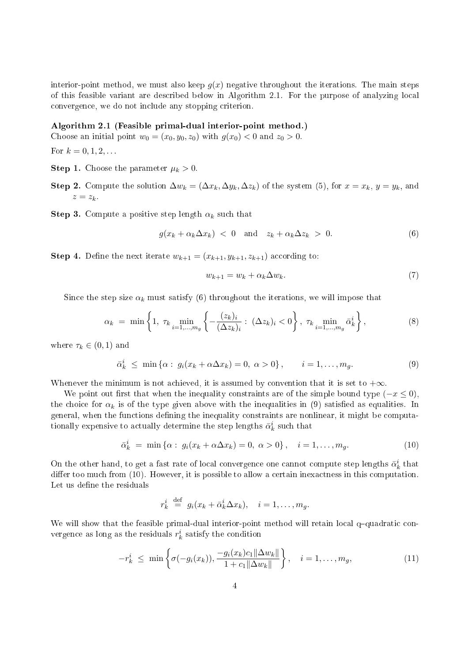interior-point method, we must also keep  $g(x)$  negative throughout the iterations. The main steps of this feasible variant are described below in Algorithm 2.1. For the purpose of analyzing local onvergen
e, we do not in
lude any stopping riterion.

### Algorithm 2.1 (Feasible primal-dual interior-point method.)

Choose an initial point  $w_0 = (x_0, y_0, z_0)$  with  $g(x_0) < 0$  and  $z_0 > 0$ .

For  $k = 0, 1, 2, ...$ 

- **Step 1.** Choose the parameter  $\mu_k > 0$ .
- Step 2. Compute the solution  $\Delta w_k = (\Delta x_k, \Delta y_k, \Delta z_k)$  of the system (5), for  $x = x_k$ ,  $y = y_k$ , and  $z = z_k$ .

Step 3. Compute a positive step length  $\alpha_k$  such that

$$
g(x_k + \alpha_k \Delta x_k) < 0 \quad \text{and} \quad z_k + \alpha_k \Delta z_k > 0. \tag{6}
$$

**Step 4.** Define the next iterate  $w_{k+1} = (x_{k+1}, y_{k+1}, z_{k+1})$  according to:

$$
w_{k+1} = w_k + \alpha_k \Delta w_k. \tag{7}
$$

Since the step size  $\alpha_k$  must satisfy (6) throughout the iterations, we will impose that

$$
\alpha_k = \min\left\{1, \ \tau_k \min_{i=1,\dots,m_g} \left\{-\frac{(z_k)_i}{(\Delta z_k)_i} : \ (\Delta z_k)_i < 0\right\}, \ \tau_k \min_{i=1,\dots,m_g} \bar{\alpha}_k^i\right\},\tag{8}
$$

where  $\tau_k \in (0,1)$  and

$$
\bar{\alpha}_k^i \le \min\left\{\alpha : g_i(x_k + \alpha \Delta x_k) = 0, \ \alpha > 0\right\}, \qquad i = 1, \dots, m_g. \tag{9}
$$

Whenever the minimum is not achieved, it is assumed by convention that it is set to  $+\infty$ .

We point out first that when the inequality constraints are of the simple bound type  $(-x \le 0)$ . the choice for  $\alpha_k$  is of the type given above with the inequalities in (9) satisfied as equalities. In general, when the functions defining the inequality constraints are nonlinear, it might be computationally expensive to actually determine the step lengths  $\bar{\alpha}_k^i$  such that

$$
\bar{\alpha}_k^i = \min \{ \alpha : g_i(x_k + \alpha \Delta x_k) = 0, \ \alpha > 0 \}, \quad i = 1, \dots, m_g. \tag{10}
$$

On the other hand, to get a fast rate of local convergence one cannot compute step lengths  $\bar{\alpha}_k^i$  that differ too much from (10). However, it is possible to allow a certain inexactness in this computation. Let us define the residuals

$$
r_k^i \stackrel{\text{def}}{=} g_i(x_k + \bar{\alpha}_k^i \Delta x_k), \quad i = 1, \dots, m_g.
$$

We will show that the feasible primal-dual interior-point method will retain local q-quadratic convergence as long as the residuals  $r_k^i$  satisfy the condition

$$
-r_k^i \le \min\left\{\sigma(-g_i(x_k)), \frac{-g_i(x_k)c_1\|\Delta w_k\|}{1+c_1\|\Delta w_k\|}\right\}, \quad i=1,\ldots,m_g,
$$
\n(11)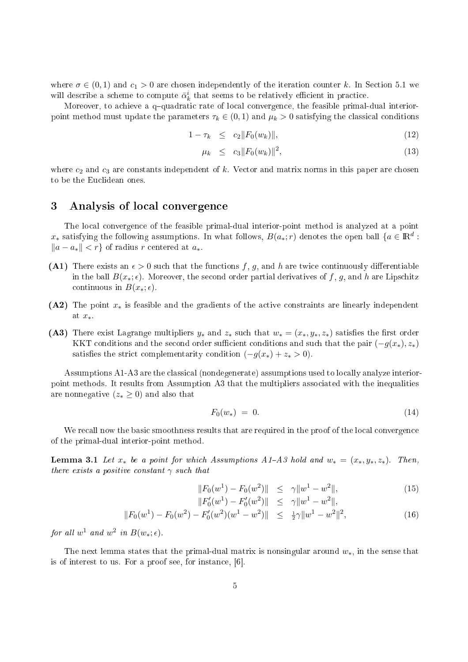where  $\sigma \in (0,1)$  and  $c_1 > 0$  are chosen independently of the iteration counter k. In Section 5.1 we will describe a scheme to compute  $\bar{\alpha}_k^i$  that seems to be relatively efficient in practice.

Moreover, to achieve a q-quadratic rate of local convergence, the feasible primal-dual interiorpoint method must update the parameters  $\tau_k \in (0,1)$  and  $\mu_k > 0$  satisfying the classical conditions

$$
1 - \tau_k \le c_2 \|F_0(w_k)\|,\tag{12}
$$

$$
\mu_k \leq c_3 \|F_0(w_k)\|^2, \tag{13}
$$

where  $c_2$  and  $c_3$  are constants independent of k. Vector and matrix norms in this paper are chosen to be the Eu
lidean ones.

## 3 Analysis of local convergence

The local convergence of the feasible primal-dual interior-point method is analyzed at a point  $x_*$  satisfying the following assumptions. In what follows,  $B(a_*; r)$  denotes the open ball  $\{a \in \mathbb{R}^d :$  $||a - a_*|| < r$  of radius r centered at  $a_*$ .

- (A1) There exists an  $\epsilon > 0$  such that the functions f, g, and h are twice continuously differentiable in the ball  $B(x_*, \epsilon)$ . Moreover, the second order partial derivatives of f, g, and h are Lipschitz continuous in  $B(x_*; \epsilon)$ .
- (A2) The point  $x_*$  is feasible and the gradients of the active constraints are linearly independent at x∗.
- (A3) There exist Lagrange multipliers  $y_*$  and  $z_*$  such that  $w_* = (x_*, y_*, z_*)$  satisfies the first order KKT conditions and the second order sufficient conditions and such that the pair  $(-q(x_*) , z_*)$ satisfies the strict complementarity condition  $(-g(x_*) + z_* > 0)$ .

Assumptions A1-A3 are the classical (nondegenerate) assumptions used to locally analyze interiorpoint methods. It results from Assumption A3 that the multipliers associated with the inequalities are nonnegative  $(z_* \geq 0)$  and also that

$$
F_0(w_*) = 0. \t\t(14)
$$

We recall now the basic smoothness results that are required in the proof of the local convergence of the primal-dual interior-point method.

**Lemma 3.1** Let  $x_*$  be a point for which Assumptions A1-A3 hold and  $w_* = (x_*, y_*, z_*)$ . Then, there exists a positive constant  $\gamma$  such that

$$
||F_0(w^1) - F_0(w^2)|| \leq \gamma ||w^1 - w^2||, \tag{15}
$$

$$
||F'_0(w^1) - F'_0(w^2)|| \leq \gamma ||w^1 - w^2||,
$$
  

$$
||F_0(w^1) - F_0(w^2) - F'_0(w^2)(w^1 - w^2)|| \leq \frac{1}{2}\gamma ||w^1 - w^2||^2,
$$
 (16)

for all  $w^1$  and  $w^2$  in  $B(w_*; \epsilon)$ .

The next lemma states that the primal-dual matrix is nonsingular around  $w_*$ , in the sense that is of interest to us. For a proof see, for instance,  $[6]$ .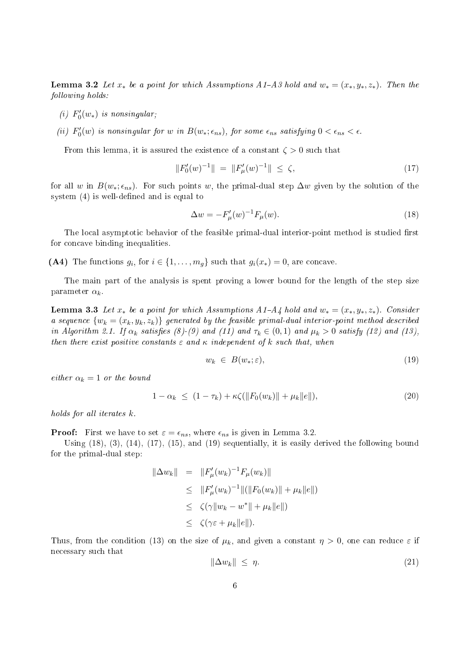**Lemma 3.2** Let  $x_*$  be a point for which Assumptions A1-A3 hold and  $w_* = (x_*, y_*, z_*)$ . Then the following holds:

- (i)  $F'_0(w_*)$  is nonsingular;
- (ii)  $F'_0(w)$  is nonsingular for w in  $B(w_*; \epsilon_{ns})$ , for some  $\epsilon_{ns}$  satisfying  $0 < \epsilon_{ns} < \epsilon$ .

From this lemma, it is assured the existence of a constant  $\zeta > 0$  such that

$$
||F_0'(w)^{-1}|| = ||F_\mu'(w)^{-1}|| \le \zeta,
$$
\n(17)

for all w in  $B(w_*, \epsilon_{ns})$ . For such points w, the primal-dual step  $\Delta w$  given by the solution of the system  $(4)$  is well-defined and is equal to

$$
\Delta w = -F'_{\mu}(w)^{-1}F_{\mu}(w). \tag{18}
$$

The local asymptotic behavior of the feasible primal-dual interior-point method is studied first for concave binding inequalities.

(A4) The functions  $g_i$ , for  $i \in \{1, ..., m_g\}$  such that  $g_i(x_*) = 0$ , are concave.

The main part of the analysis is spent proving a lower bound for the length of the step size parameter  $\alpha_k$ .

**Lemma 3.3** Let  $x_*$  be a point for which Assumptions  $A1-A4$  hold and  $w_* = (x_*, y_*, z_*)$ . Consider a sequence  $\{w_k = (x_k, y_k, z_k)\}\$  generated by the feasible primal-dual interior-point method described in Algorithm 2.1. If  $\alpha_k$  satisfies (8)-(9) and (11) and  $\tau_k \in (0,1)$  and  $\mu_k > 0$  satisfy (12) and (13), then there exist positive constants  $\varepsilon$  and  $\kappa$  independent of k such that, when

$$
w_k \in B(w_*; \varepsilon), \tag{19}
$$

either  $\alpha_k = 1$  or the bound

$$
1 - \alpha_k \le (1 - \tau_k) + \kappa \zeta(||F_0(w_k)|| + \mu_k ||e||), \tag{20}
$$

holds for all iterates  $k$ .

**Proof:** First we have to set  $\varepsilon = \epsilon_{ns}$ , where  $\epsilon_{ns}$  is given in Lemma 3.2.

Using  $(18)$ ,  $(3)$ ,  $(14)$ ,  $(17)$ ,  $(15)$ , and  $(19)$  sequentially, it is easily derived the following bound for the primal-dual step:

$$
\|\Delta w_k\| = \|F'_{\mu}(w_k)^{-1}F_{\mu}(w_k)\|
$$
  
\n
$$
\leq \|F'_{\mu}(w_k)^{-1}\|(\|F_0(w_k)\| + \mu_k \|e\|)
$$
  
\n
$$
\leq \zeta(\gamma \|w_k - w^*\| + \mu_k \|e\|)
$$
  
\n
$$
\leq \zeta(\gamma \varepsilon + \mu_k \|e\|).
$$

Thus, from the condition (13) on the size of  $\mu_k$ , and given a constant  $\eta > 0$ , one can reduce  $\varepsilon$  if ne
essary su
h that

$$
\|\Delta w_k\| \le \eta. \tag{21}
$$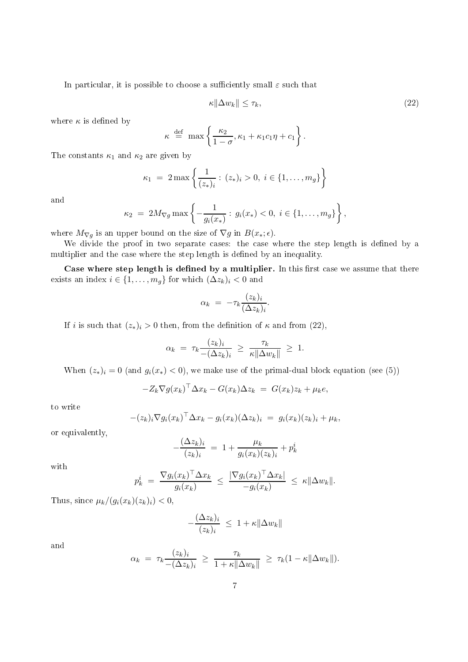In particular, it is possible to choose a sufficiently small  $\varepsilon$  such that

$$
\kappa \|\Delta w_k\| \le \tau_k,\tag{22}
$$

where  $\kappa$  is defined by

$$
\kappa \stackrel{\text{def}}{=} \max \left\{ \frac{\kappa_2}{1-\sigma}, \kappa_1 + \kappa_1 c_1 \eta + c_1 \right\}.
$$

The constants  $\kappa_1$  and  $\kappa_2$  are given by

$$
\kappa_1 = 2 \max \left\{ \frac{1}{(z_*)_i} : (z_*)_i > 0, i \in \{1, \ldots, m_g\} \right\}
$$

and

$$
\kappa_2 = 2M_{\nabla g} \max \left\{ -\frac{1}{g_i(x_*)} : g_i(x_*) < 0, \ i \in \{1, ..., m_g\} \right\},\
$$

where  $M_{\nabla g}$  is an upper bound on the size of  $\nabla g$  in  $B(x_*, \epsilon)$ .

We divide the proof in two separate cases: the case where the step length is defined by a multiplier and the case where the step length is defined by an inequality.

Case where step length is defined by a multiplier. In this first case we assume that there exists an index  $i \in \{1, \ldots, m_g\}$  for which  $(\Delta z_k)_i < 0$  and

$$
\alpha_k = -\tau_k \frac{(z_k)_i}{(\Delta z_k)_i}.
$$

If i is such that  $(z_*)_i > 0$  then, from the definition of  $\kappa$  and from  $(22)$ ,

$$
\alpha_k = \tau_k \frac{(z_k)_i}{-(\Delta z_k)_i} \ge \frac{\tau_k}{\kappa \|\Delta w_k\|} \ge 1.
$$

When  $(z_*)_i = 0$  (and  $g_i(x_*) < 0$ ), we make use of the primal-dual block equation (see (5))

$$
-Z_k \nabla g(x_k)^{\top} \Delta x_k - G(x_k) \Delta z_k = G(x_k) z_k + \mu_k e,
$$

to write

$$
-(z_k)_i \nabla g_i(x_k)^\top \Delta x_k - g_i(x_k) (\Delta z_k)_i = g_i(x_k)(z_k)_i + \mu_k,
$$

or equivalently,

$$
-\frac{(\Delta z_k)_i}{(z_k)_i} = 1 + \frac{\mu_k}{g_i(x_k)(z_k)_i} + p_k^i
$$

with

$$
p_k^i = \frac{\nabla g_i(x_k)^\top \Delta x_k}{g_i(x_k)} \leq \frac{|\nabla g_i(x_k)^\top \Delta x_k|}{-g_i(x_k)} \leq \kappa \|\Delta w_k\|.
$$

Thus, since  $\mu_k/(g_i(x_k)(z_k)_i) < 0$ ,

$$
-\frac{(\Delta z_k)_i}{(z_k)_i} \leq 1 + \kappa ||\Delta w_k||
$$

and

$$
\alpha_k = \tau_k \frac{(z_k)_i}{-(\Delta z_k)_i} \ge \frac{\tau_k}{1 + \kappa \|\Delta w_k\|} \ge \tau_k (1 - \kappa \|\Delta w_k\|).
$$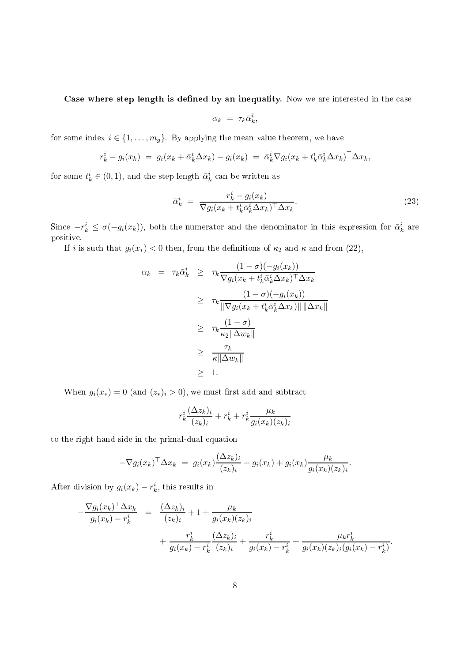Case where step length is defined by an inequality. Now we are interested in the case

$$
\alpha_k = \tau_k \bar{\alpha}_k^i,
$$

for some index  $i \in \{1, \ldots, m_g\}$ . By applying the mean value theorem, we have

$$
r_k^i - g_i(x_k) = g_i(x_k + \bar{\alpha}_k^i \Delta x_k) - g_i(x_k) = \bar{\alpha}_k^i \nabla g_i(x_k + t_k^i \bar{\alpha}_k^i \Delta x_k)^\top \Delta x_k,
$$

for some  $t_k^i \in (0,1),$  and the step length  $\bar{\alpha}_k^i$  can be written as

$$
\bar{\alpha}_k^i = \frac{r_k^i - g_i(x_k)}{\nabla g_i(x_k + t_k^i \bar{\alpha}_k^i \Delta x_k)^\top \Delta x_k}.
$$
\n(23)

Since  $-r_k^i \leq \sigma(-g_i(x_k))$ , both the numerator and the denominator in this expression for  $\bar{\alpha}_k^i$  are positive.

If i is such that  $g_i(x_*) < 0$  then, from the definitions of  $\kappa_2$  and  $\kappa$  and from (22),

$$
\alpha_k = \tau_k \bar{\alpha}_k^i \geq \tau_k \frac{(1-\sigma)(-g_i(x_k))}{\nabla g_i(x_k + t_k^i \bar{\alpha}_k^i \Delta x_k)^{\top} \Delta x_k}
$$
  
\n
$$
\geq \tau_k \frac{(1-\sigma)(-g_i(x_k))}{\|\nabla g_i(x_k + t_k^i \bar{\alpha}_k^i \Delta x_k)\| \|\Delta x_k\|}
$$
  
\n
$$
\geq \tau_k \frac{(1-\sigma)}{\kappa_2 \|\Delta w_k\|}
$$
  
\n
$$
\geq \frac{\tau_k}{\kappa \|\Delta w_k\|}
$$
  
\n
$$
\geq 1.
$$

When  $g_i(x_*) = 0$  (and  $(z_*)_i > 0$ ), we must first add and subtract

$$
r_k^i \frac{(\Delta z_k)_i}{(z_k)_i} + r_k^i + r_k^i \frac{\mu_k}{g_i(x_k)(z_k)_i}
$$

to the right hand side in the primal-dual equation

$$
-\nabla g_i(x_k)^\top \Delta x_k = g_i(x_k) \frac{(\Delta z_k)_i}{(z_k)_i} + g_i(x_k) + g_i(x_k) \frac{\mu_k}{g_i(x_k)(z_k)_i}.
$$

After division by  $g_i(x_k) - r_k^i$ , this results in

$$
-\frac{\nabla g_i(x_k)^\top \Delta x_k}{g_i(x_k) - r_k^i} = \frac{(\Delta z_k)_i}{(z_k)_i} + 1 + \frac{\mu_k}{g_i(x_k)(z_k)_i} + \frac{r_k^i}{g_i(x_k) - r_k^i} \frac{(\Delta z_k)_i}{(z_k)_i} + \frac{r_k^i}{g_i(x_k) - r_k^i} + \frac{\mu_k r_k^i}{g_i(x_k)(z_k)_i(g_i(x_k) - r_k^i)}.
$$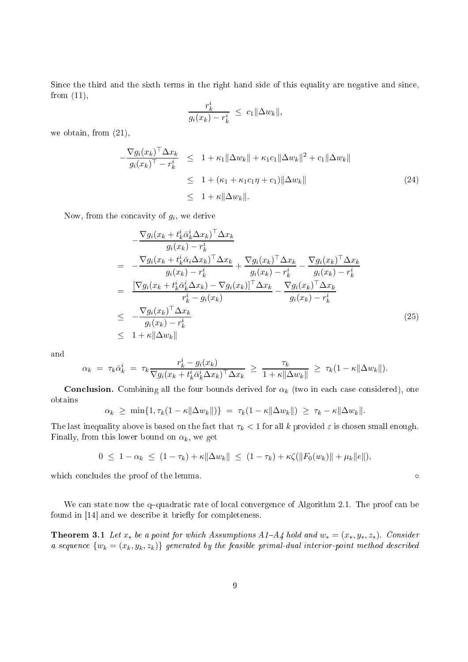Since the third and the sixth terms in the right hand side of this equality are negative and since, from  $(11)$ ,

$$
\frac{r_k^i}{g_i(x_k) - r_k^i} \ \leq \ c_1 \|\Delta w_k\|,
$$

we obtain, from (21),

$$
-\frac{\nabla g_i(x_k)^\top \Delta x_k}{g_i(x_k)^\top - r_k^i} \leq 1 + \kappa_1 \|\Delta w_k\| + \kappa_1 c_1 \|\Delta w_k\|^2 + c_1 \|\Delta w_k\|
$$
  
\n
$$
\leq 1 + (\kappa_1 + \kappa_1 c_1 \eta + c_1) \|\Delta w_k\|
$$
  
\n
$$
\leq 1 + \kappa \|\Delta w_k\|.
$$
\n(24)

Now, from the concavity of  $g_i$ , we derive

$$
-\frac{\nabla g_i(x_k + t_k^i \bar{\alpha}_k^i \Delta x_k)^{\top} \Delta x_k}{g_i(x_k) - r_k^i}
$$
\n
$$
= -\frac{\nabla g_i(x_k + t_k^i \bar{\alpha}_i \Delta x_k)^{\top} \Delta x_k}{g_i(x_k) - r_k^i} + \frac{\nabla g_i(x_k)^{\top} \Delta x_k}{g_i(x_k) - r_k^i} - \frac{\nabla g_i(x_k)^{\top} \Delta x_k}{g_i(x_k) - r_k^i}
$$
\n
$$
= \frac{[\nabla g_i(x_k + t_k^i \bar{\alpha}_k^i \Delta x_k) - \nabla g_i(x_k)]^{\top} \Delta x_k}{r_k^i - g_i(x_k)} - \frac{\nabla g_i(x_k)^{\top} \Delta x_k}{g_i(x_k) - r_k^i}
$$
\n
$$
\leq -\frac{\nabla g_i(x_k)^{\top} \Delta x_k}{g_i(x_k) - r_k^i}
$$
\n
$$
\leq 1 + \kappa \|\Delta w_k\|
$$
\n(25)

and

$$
\alpha_k = \tau_k \bar{\alpha}_k^i = \tau_k \frac{r_k^i - g_i(x_k)}{\nabla g_i(x_k + t_k^i \bar{\alpha}_k^i \Delta x_k)^\top \Delta x_k} \geq \frac{\tau_k}{1 + \kappa \|\Delta w_k\|} \geq \tau_k (1 - \kappa \|\Delta w_k\|).
$$

**Conclusion.** Combining all the four bounds derived for  $\alpha_k$  (two in each case considered), one obtains

$$
\alpha_k \geq \min\{1, \tau_k(1 - \kappa \|\Delta w_k\|)\} = \tau_k(1 - \kappa \|\Delta w_k\|) \geq \tau_k - \kappa \|\Delta w_k\|.
$$

The last inequality above is based on the fact that  $\tau_k < 1$  for all k provided  $\varepsilon$  is chosen small enough. Finally, from this lower bound on  $\alpha_k$ , we get

$$
0 \leq 1 - \alpha_k \leq (1 - \tau_k) + \kappa \|\Delta w_k\| \leq (1 - \tau_k) + \kappa \zeta(\|F_0(w_k)\| + \mu_k \|e\|),
$$

whi
h on
ludes the proof of the lemma. ◦

We can state now the q-quadratic rate of local convergence of Algorithm 2.1. The proof can be found in [14] and we describe it briefly for completeness.

**Theorem 3.1** Let  $x_*$  be a point for which Assumptions  $A1-A4$  hold and  $w_* = (x_*, y_*, z_*)$ . Consider a sequence  $\{w_k = (x_k, y_k, z_k)\}\$  generated by the feasible primal-dual interior-point method described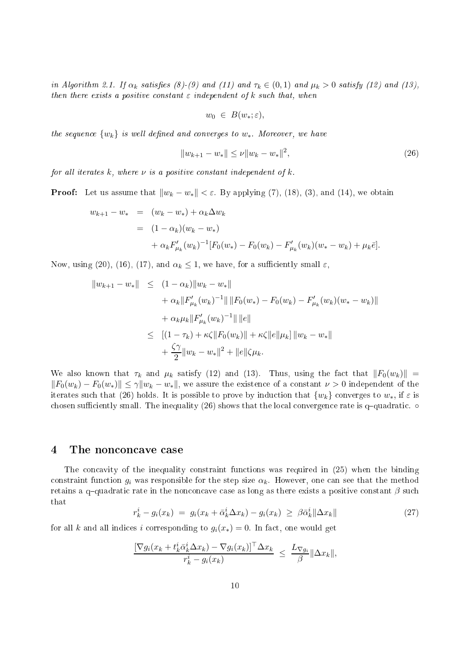in Algorithm 2.1. If  $\alpha_k$  satisfies (8)-(9) and (11) and  $\tau_k \in (0,1)$  and  $\mu_k > 0$  satisfy (12) and (13), then there exists a positive constant  $\varepsilon$  independent of k such that, when

$$
w_0 \in B(w_*;\varepsilon),
$$

the sequence  $\{w_k\}$  is well defined and converges to  $w_*$ . Moreover, we have

$$
||w_{k+1} - w_*|| \le \nu ||w_k - w_*||^2,
$$
\n(26)

for all iterates k, where  $\nu$  is a positive constant independent of k.

**Proof:** Let us assume that  $||w_k - w_*|| < \varepsilon$ . By applying (7), (18), (3), and (14), we obtain

$$
w_{k+1} - w_* = (w_k - w_*) + \alpha_k \Delta w_k
$$
  
=  $(1 - \alpha_k)(w_k - w_*)$   
+  $\alpha_k F'_{\mu_k}(w_k)^{-1} [F_0(w_*) - F_0(w_k) - F'_{\mu_k}(w_k)(w_* - w_k) + \mu_k \bar{e}].$ 

Now, using (20), (16), (17), and  $\alpha_k \leq 1$ , we have, for a sufficiently small  $\varepsilon$ ,

$$
||w_{k+1} - w_*|| \leq (1 - \alpha_k) ||w_k - w_*||
$$
  
+  $\alpha_k ||F'_{\mu_k}(w_k)^{-1}|| ||F_0(w_*) - F_0(w_k) - F'_{\mu_k}(w_k)(w_* - w_k)||$   
+  $\alpha_k \mu_k ||F'_{\mu_k}(w_k)^{-1}|| ||e||$   
 $\leq [(1 - \tau_k) + \kappa \zeta ||F_0(w_k)|| + \kappa \zeta ||e|| \mu_k] ||w_k - w_*||$   
+  $\frac{\zeta \gamma}{2} ||w_k - w_*||^2 + ||e|| \zeta \mu_k.$ 

We also known that  $\tau_k$  and  $\mu_k$  satisfy (12) and (13). Thus, using the fact that  $||F_0(w_k)||$  =  $||F_0(w_k) - F_0(w_*)|| \leq \gamma ||w_k - w_*||$ , we assure the existence of a constant  $\nu > 0$  independent of the iterates such that (26) holds. It is possible to prove by induction that  $\{w_k\}$  converges to  $w_*$ , if  $\varepsilon$  is chosen sufficiently small. The inequality  $(26)$  shows that the local convergence rate is q-quadratic.  $\circ$ 

### 4 The nonconcave case

The concavity of the inequality constraint functions was required in (25) when the binding constraint function  $g_i$  was responsible for the step size  $\alpha_k$ . However, one can see that the method retains a q-quadratic rate in the nonconcave case as long as there exists a positive constant  $\beta$  such that

$$
r_k^i - g_i(x_k) = g_i(x_k + \bar{\alpha}_k^i \Delta x_k) - g_i(x_k) \geq \beta \bar{\alpha}_k^i ||\Delta x_k|| \tag{27}
$$

for all k and all indices i corresponding to  $g_i(x_*) = 0$ . In fact, one would get

$$
\frac{\left[\nabla g_i(x_k + t_k^i \bar{\alpha}_k^i \Delta x_k) - \nabla g_i(x_k)\right]^\top \Delta x_k}{r_k^i - g_i(x_k)} \leq \frac{L_{\nabla g_i}}{\beta} \|\Delta x_k\|,
$$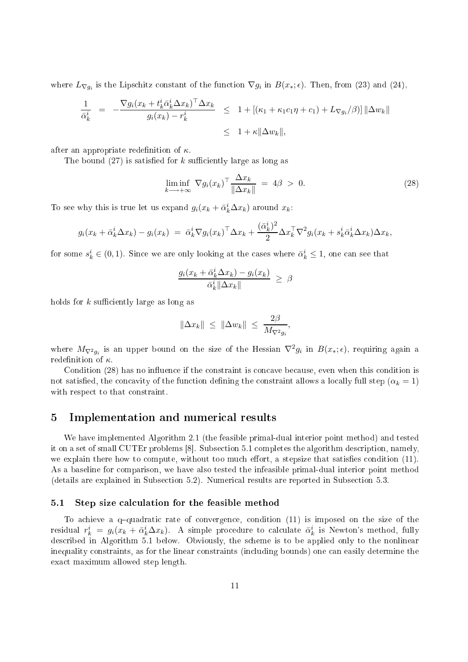where  $L_{\nabla g_i}$  is the Lipschitz constant of the function  $\nabla g_i$  in  $B(x_*, \epsilon)$ . Then, from (23) and (24),

$$
\frac{1}{\bar{\alpha}_k^i} = -\frac{\nabla g_i(x_k + t_k^i \bar{\alpha}_k^i \Delta x_k)^\top \Delta x_k}{g_i(x_k) - r_k^i} \leq 1 + \left[ (\kappa_1 + \kappa_1 c_1 \eta + c_1) + L_{\nabla g_i}(\beta) \right] ||\Delta w_k||
$$
  

$$
\leq 1 + \kappa ||\Delta w_k||,
$$

after an appropriate redefinition of  $\kappa$ .

The bound  $(27)$  is satisfied for k sufficiently large as long as

$$
\liminf_{k \to +\infty} \nabla g_i(x_k)^\top \frac{\Delta x_k}{\|\Delta x_k\|} = 4\beta > 0. \tag{28}
$$

To see why this is true let us expand  $g_i(x_k + \bar{\alpha}_k^i \Delta x_k)$  around  $x_k$ :

$$
g_i(x_k + \bar{\alpha}_k^i \Delta x_k) - g_i(x_k) = \bar{\alpha}_k^i \nabla g_i(x_k)^\top \Delta x_k + \frac{(\bar{\alpha}_k^i)^2}{2} \Delta x_k^\top \nabla^2 g_i(x_k + s_k^i \bar{\alpha}_k^i \Delta x_k) \Delta x_k,
$$

for some  $s_k^i \in (0,1)$ . Since we are only looking at the cases where  $\bar{\alpha}_k^i \leq 1$ , one can see that

$$
\frac{g_i(x_k + \bar{\alpha}_k^i \Delta x_k) - g_i(x_k)}{\bar{\alpha}_k^i \|\Delta x_k\|} \ge \beta
$$

holds for  $k$  sufficiently large as long as

$$
\|\Delta x_k\| \leq \|\Delta w_k\| \leq \frac{2\beta}{M_{\nabla^2 g_i}},
$$

where  $M_{\nabla^2 g_i}$  is an upper bound on the size of the Hessian  $\nabla^2 g_i$  in  $B(x_*, \epsilon)$ , requiring again a redefinition of  $\kappa$ .

Condition (28) has no influence if the constraint is concave because, even when this condition is not satisfied, the concavity of the function defining the constraint allows a locally full step ( $\alpha_k = 1$ ) with respect to that constraint.

# 5 Implementation and numeri
al results

We have implemented Algorithm 2.1 (the feasible primal-dual interior point method) and tested it on a set of small CUTEr problems [8]. Subsection 5.1 completes the algorithm description, namely, we explain there how to compute, without too much effort, a stepsize that satisfies condition  $(11)$ . As a baseline for omparison, we have also tested the infeasible primal-dual interior point method (details are explained in Subse
tion 5.2). Numeri
al results are reported in Subse
tion 5.3.

### 5.1 Step size calculation for the feasible method

To achieve a q-quadratic rate of convergence, condition  $(11)$  is imposed on the size of the residual  $r_k^i = g_i(x_k + \bar{\alpha}_k^i \Delta x_k)$ . A simple procedure to calculate  $\bar{\alpha}_k^i$  is Newton's method, fully des
ribed in Algorithm 5.1 below. Obviously, the s
heme is to be applied only to the nonlinear inequality constraints, as for the linear constraints (including bounds) one can easily determine the exa
t maximum allowed step length.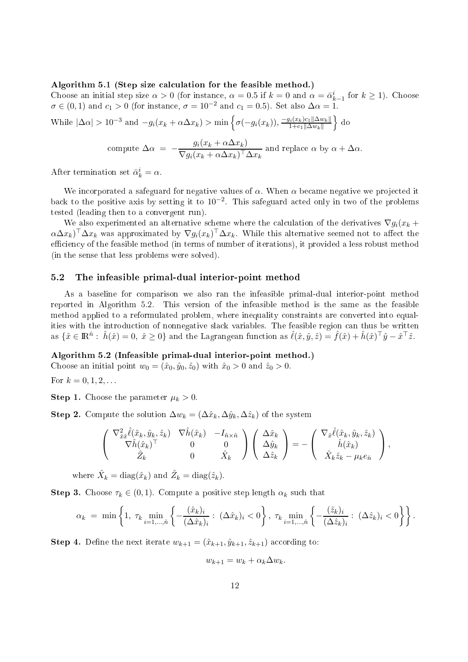#### Algorithm 5.1 (Step size calculation for the feasible method.)

Choose an initial step size  $\alpha > 0$  (for instance,  $\alpha = 0.5$  if  $k = 0$  and  $\alpha = \bar{\alpha}_{k-1}^i$  for  $k \ge 1$ ). Choose  $\sigma \in (0,1)$  and  $c_1 > 0$  (for instance,  $\sigma = 10^{-2}$  and  $c_1 = 0.5$ ). Set also  $\Delta \alpha = 1$ .

While  $|\Delta\alpha| > 10^{-3}$  and  $-g_i(x_k + \alpha \Delta x_k) > \min\left\{\sigma(-g_i(x_k))\frac{-g_i(x_k)c_1||\Delta w_k||}{1+c_1||\Delta w_k||}\right\}$  $1+c_1\|\Delta w_k\|$  $\}$  do

compute 
$$
\Delta \alpha = -\frac{g_i(x_k + \alpha \Delta x_k)}{\nabla g_i(x_k + \alpha \Delta x_k)^\top \Delta x_k}
$$
 and replace  $\alpha$  by  $\alpha + \Delta \alpha$ .

After termination set  $\bar{\alpha}_k^i = \alpha$ .

We incorporated a safeguard for negative values of  $\alpha$ . When  $\alpha$  became negative we projected it back to the positive axis by setting it to  $10^{-2}$ . This safeguard acted only in two of the problems tested (leading then to a onvergent run).

We also experimented an alternative scheme where the calculation of the derivatives  $\nabla g_i(x_k +$  $(\alpha \Delta x_k)^\top \Delta x_k$  was approximated by  $\nabla g_i(x_k)^\top \Delta x_k$ . While this alternative seemed not to affect the efficiency of the feasible method (in terms of number of iterations), it provided a less robust method (in the sense that less problems were solved).

#### 5.2 The infeasible primal-dual interior-point method

As a baseline for omparison we also ran the infeasible primal-dual interior-point method reported in Algorithm 5.2. This version of the infeasible method is the same as the feasible method applied to a reformulated problem, where inequality onstraints are onverted into equalities with the introduction of nonnegative slack variables. The feasible region can thus be written as  $\{\hat{x}\in\mathbb{R}^{\hat{n}}:\ \hat{h}(\hat{x})=0,\ \hat{x}\geq0\}$  and the Lagrangean function as  $\hat{\ell}(\hat{x},\hat{y},\hat{z})=\hat{f}(\hat{x})+\hat{h}(\hat{x})^{\top}\hat{y}-\hat{x}^{\top}\hat{z}$ .

### Algorithm 5.2 (Infeasible primal-dual interior-point method.)

Choose an initial point  $w_0 = (\hat{x}_0, \hat{y}_0, \hat{z}_0)$  with  $\hat{x}_0 > 0$  and  $\hat{z}_0 > 0$ .

For  $k = 0, 1, 2, ...$ 

**Step 1.** Choose the parameter  $\mu_k > 0$ .

Step 2. Compute the solution  $\Delta w_k = (\Delta \hat{x}_k, \Delta \hat{y}_k, \Delta \hat{z}_k)$  of the system

$$
\begin{pmatrix}\n\nabla_{\hat{x}\hat{x}}^2 \hat{\ell}(\hat{x}_k, \hat{y}_k, \hat{z}_k) & \nabla \hat{h}(\hat{x}_k) & -I_{\hat{n}\times\hat{n}} \\
\nabla \hat{h}(\hat{x}_k)^\top & 0 & 0 \\
\hat{Z}_k & 0 & \hat{X}_k\n\end{pmatrix}\n\begin{pmatrix}\n\Delta \hat{x}_k \\
\Delta \hat{y}_k \\
\Delta \hat{z}_k\n\end{pmatrix} = -\begin{pmatrix}\n\nabla_{\hat{x}} \hat{\ell}(\hat{x}_k, \hat{y}_k, \hat{z}_k) \\
\hat{h}(\hat{x}_k) \\
\hat{X}_k \hat{z}_k - \mu_k e_{\hat{n}}\n\end{pmatrix},
$$

where  $\hat{X}_k = \text{diag}(\hat{x}_k)$  and  $\hat{Z}_k = \text{diag}(\hat{z}_k)$ .

**Step 3.** Choose  $\tau_k \in (0,1)$ . Compute a positive step length  $\alpha_k$  such that

$$
\alpha_k = \min \left\{ 1, \ \tau_k \min_{i=1,\dots,\hat{n}} \left\{ -\frac{(\hat{x}_k)_i}{(\Delta \hat{x}_k)_i} : \ (\Delta \hat{x}_k)_i < 0 \right\}, \ \tau_k \min_{i=1,\dots,\hat{n}} \left\{ -\frac{(\hat{z}_k)_i}{(\Delta \hat{z}_k)_i} : \ (\Delta \hat{z}_k)_i < 0 \right\} \right\}.
$$

**Step 4.** Define the next iterate  $w_{k+1} = (\hat{x}_{k+1}, \hat{y}_{k+1}, \hat{z}_{k+1})$  according to:

$$
w_{k+1} = w_k + \alpha_k \Delta w_k.
$$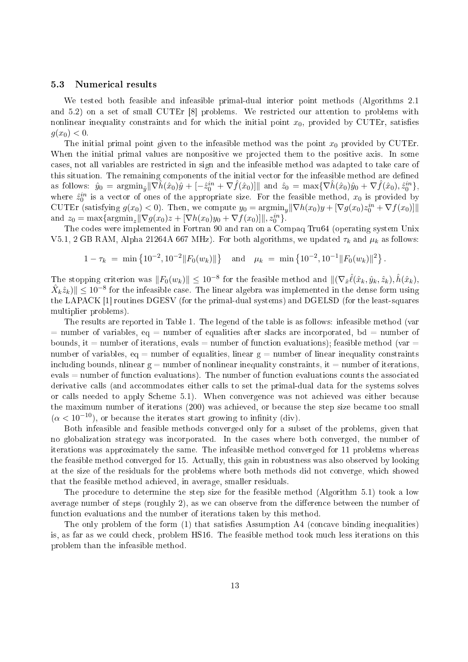### 5.3 Numeri
al results

We tested both feasible and infeasible primal-dual interior point methods (Algorithms 2.1 and  $5.2$ ) on a set of small CUTEr  $[8]$  problems. We restricted our attention to problems with nonlinear inequality constraints and for which the initial point  $x_0$ , provided by CUTEr, satisfies  $q(x_0) < 0.$ 

The initial primal point given to the infeasible method was the point  $x_0$  provided by CUTEr. When the initial primal values are nonpositive we projected them to the positive axis. In some ases, not all variables are restri
ted in sign and the infeasible method was adapted to take are of this situation. The remaining components of the initial vector for the infeasible method are defined as follows:  $\hat{y}_0 = \text{argmin}_{\hat{y}} ||\nabla \hat{h}(\hat{x}_0)\hat{y} + [-\hat{z}_0^{in} + \nabla \hat{f}(\hat{x}_0)]||$  and  $\hat{z}_0 = \text{max}\{\nabla \hat{h}(\hat{x}_0)\hat{y}_0 + \nabla \hat{f}(\hat{x}_0), \hat{z}_0^{in}\},$ where  $\hat{z}_0^{in}$  is a vector of ones of the appropriate size. For the feasible method,  $x_0$  is provided by CUTEr (satisfying  $g(x_0) < 0$ ). Then, we compute  $y_0 = \operatorname{argmin}_y ||\nabla h(x_0)y + [\nabla g(x_0)z_0^{in} + \nabla f(x_0)]||$ and  $z_0 = \max{\argmin_z ||\nabla g(x_0)z + [\nabla h(x_0)y_0 + \nabla f(x_0)]||, z_0^{in}\}.$ 

The odes were implemented in Fortran 90 and ran on a Compaq Tru64 (operating system Unix V5.1, 2 GB RAM, Alpha 21264A 667 MHz). For both algorithms, we updated  $\tau_k$  and  $\mu_k$  as follows:

$$
1 - \tau_k = \min \left\{ 10^{-2}, 10^{-2} ||F_0(w_k)|| \right\} \quad \text{and} \quad \mu_k = \min \left\{ 10^{-2}, 10^{-1} ||F_0(w_k)||^2 \right\}.
$$

The stopping criterion was  $||F_0(w_k)|| \leq 10^{-8}$  for the feasible method and  $||(\nabla_{\hat{x}} \hat{\ell}(\hat{x}_k, \hat{y}_k, \hat{z}_k), \hat{h}(\hat{x}_k),$  $\hat{X}_k \hat{z}_k) \|\leq 10^{-8}$  for the infeasible case. The linear algebra was implemented in the dense form using the LAPACK [1] routines DGESV (for the primal-dual systems) and DGELSD (for the least-squares multiplier problems).

The results are reported in Table 1. The legend of the table is as follows: infeasible method (var  $=$  number of variables, eq  $=$  number of equalities after slacks are incorporated, bd  $=$  number of bounds, it = number of iterations, evals = number of function evaluations); feasible method (var = number of variables, eq = number of equalities, linear  $g =$  number of linear inequality constraints including bounds, nlinear  $g =$  number of nonlinear inequality constraints, it = number of iterations, evals = number of function evaluations). The number of function evaluations counts the associated derivative calls (and accommodates either calls to set the primal-dual data for the systems solves or calls needed to apply Scheme 5.1). When convergence was not achieved was either because the maximum number of iterations (200) was achieved, or because the step size became too small  $(\alpha < 10^{-10})$ , or because the iterates start growing to infinity (div).

Both infeasible and feasible methods onverged only for a subset of the problems, given that no globalization strategy was in
orporated. In the ases where both onverged, the number of iterations was approximately the same. The infeasible method onverged for 11 problems whereas the feasible method onverged for 15. A
tually, this gain in robustness was also observed by looking at the size of the residuals for the problems where both methods did not onverge, whi
h showed that the feasible method a
hieved, in average, smaller residuals.

The pro
edure to determine the step size for the feasible method (Algorithm 5.1) took a low average number of steps (roughly  $2$ ), as we can observe from the difference between the number of fun
tion evaluations and the number of iterations taken by this method.

The only problem of the form  $(1)$  that satisfies Assumption A4 (concave binding inequalities) is, as far as we ould he
k, problem HS16. The feasible method took mu
h less iterations on this problem than the infeasible method.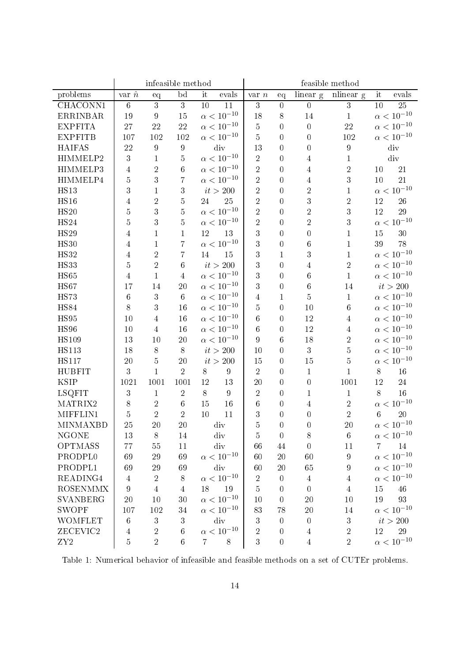|                     | infeasible method |                  |                  |                     |                     | feasible method  |                  |                  |                  |                 |                     |
|---------------------|-------------------|------------------|------------------|---------------------|---------------------|------------------|------------------|------------------|------------------|-----------------|---------------------|
| problems            | var $\hat{n}$     | eq               | bd               | it                  | evals               | $var$ $n$        | eq               | linear g         | nlinear g        | it              | evals               |
| CHACONN1            | $\boldsymbol{6}$  | $\overline{3}$   | 3                | 10                  | 11                  | 3                | $\boldsymbol{0}$ | $\overline{0}$   | 3                | 10              | 25                  |
| <b>ERRINBAR</b>     | 19                | $9\phantom{.0}$  | 15               |                     | $\alpha < 10^{-10}$ | 18               | 8                | 14               | 1                |                 | $\alpha < 10^{-10}$ |
| <b>EXPFITA</b>      | 27                | 22               | 22               |                     | $\alpha < 10^{-10}$ | $\bf 5$          | $\overline{0}$   | $\overline{0}$   | 22               |                 | $\alpha < 10^{-10}$ |
| <b>EXPFITB</b>      | 107               | 102              | 102              |                     | $\alpha < 10^{-10}$ | $\overline{5}$   | $\overline{0}$   | $\overline{0}$   | 102              |                 | $\alpha < 10^{-10}$ |
| <b>HAIFAS</b>       | 22                | $\boldsymbol{9}$ | $\boldsymbol{9}$ |                     | div                 | 13               | $\overline{0}$   | $\overline{0}$   | $\boldsymbol{9}$ |                 | div                 |
| HIMMELP2            | 3                 | $\mathbf 1$      | 5                |                     | $\alpha < 10^{-10}$ | $\sqrt{2}$       | $\overline{0}$   | 4                | $\mathbf 1$      |                 | div                 |
| HIMMELP3            | $\overline{4}$    | $\overline{2}$   | 6                |                     | $\alpha < 10^{-10}$ | $\sqrt{2}$       | $\overline{0}$   | 4                | $\overline{2}$   | 10              | 21                  |
| HIMMELP4            | $\overline{5}$    | $\overline{3}$   | 7                |                     | $\alpha < 10^{-10}$ | $\sqrt{2}$       | $\overline{0}$   | $\overline{4}$   | 3                | 10              | 21                  |
| <b>HS13</b>         | 3                 | $\mathbf{1}$     | 3                |                     | it > 200            | $\overline{2}$   | $\overline{0}$   | $\overline{2}$   | $\mathbf{1}$     |                 | $\alpha < 10^{-10}$ |
| HS16                | $\overline{4}$    | $\overline{2}$   | $\overline{5}$   | 24                  | 25                  | $\overline{2}$   | $\bf{0}$         | $\boldsymbol{3}$ | $\overline{2}$   | 12              | 26                  |
| HS20                | 5                 | $\mathbf{3}$     | $\overline{5}$   |                     | $\alpha < 10^{-10}$ | $\overline{2}$   | $\overline{0}$   | $\overline{2}$   | 3                | 12              | 29                  |
| HS24                | $\overline{5}$    | 3                | $\overline{5}$   |                     | $\alpha < 10^{-10}$ | $\sqrt{2}$       | $\overline{0}$   | $\overline{2}$   | 3                |                 | $\alpha < 10^{-10}$ |
| <b>HS29</b>         | 4                 | $\mathbf 1$      | 1                | 12                  | 13                  | 3                | $\overline{0}$   | $\overline{0}$   | $\mathbf{1}$     | 15              | 30                  |
| <b>HS30</b>         | 4                 | $\mathbf{1}$     | 7                |                     | $\alpha < 10^{-10}$ | 3                | $\bf{0}$         | 6                | $\mathbf{1}$     | 39              | 78                  |
| <b>HS32</b>         | 4                 | $\sqrt{2}$       | 7                | 14                  | 15                  | 3                | $\mathbf 1$      | 3                | $\mathbf{1}$     |                 | $\alpha < 10^{-10}$ |
| <b>HS33</b>         | $\overline{5}$    | $\overline{2}$   | $\,6$            |                     | it > 200            | 3                | $\overline{0}$   | $\overline{4}$   | $\overline{2}$   |                 | $\alpha < 10^{-10}$ |
| HS65                | $\overline{4}$    | $\mathbf{1}$     | $\overline{4}$   |                     | $\alpha < 10^{-10}$ | 3                | $\overline{0}$   | $6\phantom{.0}$  | $\mathbf{1}$     |                 | $\alpha < 10^{-10}$ |
| HS67                | 17                | 14               | 20               |                     | $\alpha < 10^{-10}$ | 3                | $\overline{0}$   | $6\phantom{.0}$  | 14               |                 | $it>200$            |
| <b>HS73</b>         | $\,6$             | $\overline{3}$   | $\,6\,$          |                     | $\alpha < 10^{-10}$ | $\overline{4}$   | $\mathbf{1}$     | $\overline{5}$   | $\mathbf 1$      |                 | $\alpha < 10^{-10}$ |
| <b>HS84</b>         | 8                 | 3                | 16               |                     | $\alpha < 10^{-10}$ | $\overline{5}$   | $\overline{0}$   | 10               | $6\phantom{.0}$  |                 | $\alpha < 10^{-10}$ |
| HS95                | 10                | $\overline{4}$   | 16               |                     | $\alpha < 10^{-10}$ | $\,6$            | $\overline{0}$   | 12               | $\overline{4}$   |                 | $\alpha < 10^{-10}$ |
| <b>HS96</b>         | 10                | $\overline{4}$   | 16               |                     | $\alpha < 10^{-10}$ | 6                | $\overline{0}$   | 12               | $\overline{4}$   |                 | $\alpha < 10^{-10}$ |
| <b>HS109</b>        | 13                | 10               | 20               | $\alpha < 10^{-10}$ |                     | $\boldsymbol{9}$ | $\,6\,$          | $18\,$           | $\overline{2}$   |                 | $\alpha < 10^{-10}$ |
| <b>HS113</b>        | 18                | $8\,$            | 8                | it > 200            |                     | 10               | $\overline{0}$   | $\sqrt{3}$       | $5\,$            |                 | $\alpha < 10^{-10}$ |
| <b>HS117</b>        | 20                | 5                | 20               | it > 200            |                     | 15               | $\overline{0}$   | 15               | $\overline{5}$   |                 | $\alpha < 10^{-10}$ |
| <b>HUBFIT</b>       | 3                 | $\mathbf{1}$     | $\overline{2}$   | 8                   | $\boldsymbol{9}$    | $\sqrt{2}$       | $\overline{0}$   | $\mathbf{1}$     | $\mathbf 1$      | 8               | 16                  |
| <b>KSIP</b>         | 1021              | 1001             | 1001             | 12                  | 13                  | 20               | $\overline{0}$   | $\overline{0}$   | 1001             | 12              | 24                  |
| <b>LSQFIT</b>       | $\sqrt{3}$        | $\mathbf{1}$     | $\sqrt{2}$       | 8                   | $\boldsymbol{9}$    | $\sqrt{2}$       | $\overline{0}$   | 1                | $\mathbf{1}$     | 8               | 16                  |
| MATRIX2             | 8                 | $\,2$            | $6\phantom{.}6$  | 15                  | 16                  | $\,6\,$          | $\bf{0}$         | 4                | $\overline{2}$   |                 | $\alpha < 10^{-10}$ |
| MIFFLIN1            | $\overline{5}$    | $\overline{2}$   | $\overline{2}$   | 10                  | 11                  | 3                | 0                | $\mathbf 0$      | $\overline{2}$   | $6\phantom{.}6$ | 20                  |
| <b>MINMAXBD</b>     | 25                | 20               | 20               |                     | div                 | $\overline{5}$   | $\overline{0}$   | $\overline{0}$   | 20               |                 | $\alpha < 10^{-10}$ |
| <b>NGONE</b>        | 13                | $8\,$            | 14               | div                 |                     | 5                | $\overline{0}$   | $8\,$            | $6\,$            |                 | $\alpha < 10^{-10}$ |
| OPTMASS             | 77                | $55\,$           | 11               |                     | div                 | 66               | 44               | $\overline{0}$   | 11               | $\overline{7}$  | 14                  |
| PRODPL <sub>0</sub> | 69                | $\sqrt{29}$      | 69               | $\alpha < 10^{-10}$ |                     | 60               | $20\,$           | 60               | $\boldsymbol{9}$ |                 | $\alpha < 10^{-10}$ |
| PRODPL1             | 69                | $\sqrt{29}$      | 69               | div                 |                     | 60               | 20               | 65               | $\boldsymbol{9}$ |                 | $\alpha < 10^{-10}$ |
| READING4            | $\overline{4}$    | $\sqrt{2}$       | 8                | $\alpha < 10^{-10}$ |                     | $\sqrt{2}$       | $\theta$         | $\overline{4}$   | $\overline{4}$   |                 | $\alpha < 10^{-10}$ |
| <b>ROSENMMX</b>     | 9                 | $\overline{4}$   | $\overline{4}$   | 18<br>19            |                     | $\overline{5}$   | $\theta$         | $\overline{0}$   | $\overline{4}$   | $15\,$          | 46                  |
| <b>SVANBERG</b>     | 20                | 10               | 30               | $\alpha < 10^{-10}$ |                     | 10               | $\overline{0}$   | 20               | 10               | 19              | 93                  |
| <b>SWOPF</b>        | 107               | 102              | 34               | $\alpha < 10^{-10}$ |                     | 83               | 78               | $20\,$           | $14\,$           |                 | $\alpha < 10^{-10}$ |
| <b>WOMFLET</b>      | $\,6$             | 3                | 3                | div                 |                     | $\sqrt{3}$       | $\theta$         | $\boldsymbol{0}$ | 3                |                 | it > 200            |
| ZECEVIC2            | $\overline{4}$    | $\overline{2}$   | $\,6$            |                     | $\alpha < 10^{-10}$ | $\sqrt{2}$       | $\boldsymbol{0}$ | 4                | $\overline{2}$   | 12              | 29                  |
| ${\rm ZY2}$         | $\overline{5}$    | $\overline{2}$   | $\,6$            | $\overline{7}$      | $8\,$               | 3                | $\boldsymbol{0}$ | $\overline{4}$   | $\overline{2}$   |                 | $\alpha < 10^{-10}$ |

Table 1: Numerical behavior of infeasible and feasible methods on a set of CUTEr problems.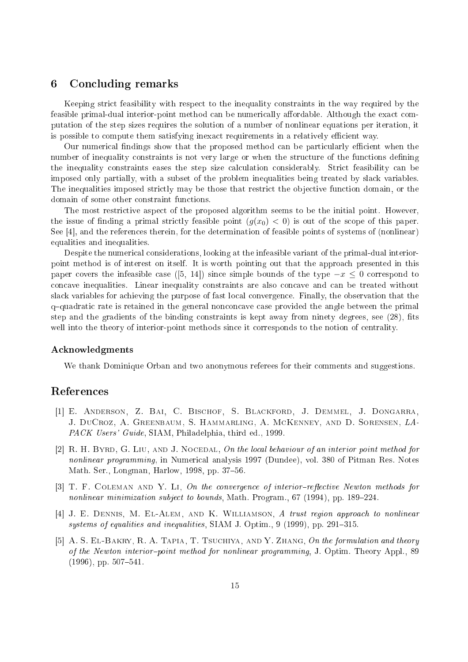# 6 Con
luding remarks

Keeping stri
t feasibility with respe
t to the inequality onstraints in the way required by the feasible primal-dual interior-point method can be numerically affordable. Although the exact computation of the step sizes requires the solution of a number of nonlinear equations per iteration, it is possible to compute them satisfying inexact requirements in a relatively efficient way.

Our numerical findings show that the proposed method can be particularly efficient when the number of inequality constraints is not very large or when the structure of the functions defining the inequality constraints eases the step size calculation considerably. Strict feasibility can be imposed only partially, with a subset of the problem inequalities being treated by sla
k variables. The inequalities imposed strictly may be those that restrict the objective function domain, or the domain of some other constraint functions.

The most restrictive aspect of the proposed algorithm seems to be the initial point. However, the issue of finding a primal strictly feasible point  $(g(x_0) < 0)$  is out of the scope of this paper. See  $[4]$ , and the references therein, for the determination of feasible points of systems of (nonlinear) equalities and inequalities.

Despite the numerical considerations, looking at the infeasible variant of the primal-dual interiorpoint method is of interest on itself. It is worth pointing out that the approach presented in this paper covers the infeasible case ([5, 14]) since simple bounds of the type  $-x \leq 0$  correspond to on
ave inequalities. Linear inequality onstraints are also on
ave and an be treated without slack variables for achieving the purpose of fast local convergence. Finally, the observation that the  $q$ -quadratic rate is retained in the general nonconcave case provided the angle between the primal step and the gradients of the binding constraints is kept away from ninety degrees, see (28), fits well into the theory of interior-point methods since it corresponds to the notion of centrality.

### A
knowledgments

We thank Dominique Orban and two anonymous referees for their comments and suggestions.

# Referen
es

- [1] E. ANDERSON, Z. BAI, C. BISCHOF, S. BLACKFORD, J. DEMMEL, J. DONGARRA, J. DuCroz, A. Greenbaum, S. Hammarling, A. M
Kenney, and D. Sorensen, LA-PACK Users' Guide, SIAM, Philadelphia, third ed., 1999.
- [2] R. H. BYRD, G. LIU, AND J. NOCEDAL, On the local behaviour of an interior point method for nonlinear programming, in Numerical analysis 1997 (Dundee), vol. 380 of Pitman Res. Notes Math. Ser., Longman, Harlow, 1998, pp. 37-56.
- $[3]$  T. F. COLEMAN AND Y. LI, On the convergence of interior-reflective Newton methods for nonlinear minimization subject to bounds, Math. Program., 67 (1994), pp. 189-224.
- [4] J. E. DENNIS, M. EL-ALEM, AND K. WILLIAMSON, A trust region approach to nonlinear systems of equalities and inequalities, SIAM J. Optim.,  $9(1999)$ , pp. 291-315.
- [5] A. S. EL-BAKRY, R. A. TAPIA, T. TSUCHIYA, AND Y. ZHANG, On the formulation and theory of the Newton interior-point method for nonlinear programming, J. Optim. Theory Appl., 89  $(1996)$ , pp. 507-541.